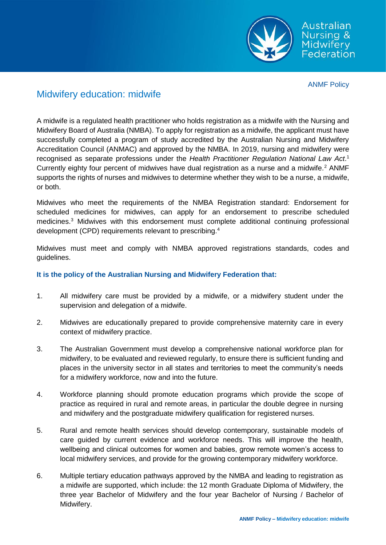

Australian Nursing & **Midwifery** Federation

ANMF Policy

# Midwifery education: midwife

A midwife is a regulated health practitioner who holds registration as a midwife with the Nursing and Midwifery Board of Australia (NMBA). To apply for registration as a midwife, the applicant must have successfully completed a program of study accredited by the Australian Nursing and Midwifery Accreditation Council (ANMAC) and approved by the NMBA. In 2019, nursing and midwifery were recognised as separate professions under the *Health Practitioner Regulation National Law Act*. 1 Currently eighty four percent of midwives have dual registration as a nurse and a midwife.<sup>2</sup> ANMF supports the rights of nurses and midwives to determine whether they wish to be a nurse, a midwife, or both.

Midwives who meet the requirements of the NMBA Registration standard: Endorsement for scheduled medicines for midwives, can apply for an endorsement to prescribe scheduled medicines.<sup>3</sup> Midwives with this endorsement must complete additional continuing professional development (CPD) requirements relevant to prescribing.<sup>4</sup>

Midwives must meet and comply with NMBA approved registrations standards, codes and guidelines.

## **It is the policy of the Australian Nursing and Midwifery Federation that:**

- 1. All midwifery care must be provided by a midwife, or a midwifery student under the supervision and delegation of a midwife.
- 2. Midwives are educationally prepared to provide comprehensive maternity care in every context of midwifery practice.
- 3. The Australian Government must develop a comprehensive national workforce plan for midwifery, to be evaluated and reviewed regularly, to ensure there is sufficient funding and places in the university sector in all states and territories to meet the community's needs for a midwifery workforce, now and into the future.
- 4. Workforce planning should promote education programs which provide the scope of practice as required in rural and remote areas, in particular the double degree in nursing and midwifery and the postgraduate midwifery qualification for registered nurses.
- 5. Rural and remote health services should develop contemporary, sustainable models of care guided by current evidence and workforce needs. This will improve the health, wellbeing and clinical outcomes for women and babies, grow remote women's access to local midwifery services, and provide for the growing contemporary midwifery workforce.
- 6. Multiple tertiary education pathways approved by the NMBA and leading to registration as a midwife are supported, which include: the 12 month Graduate Diploma of Midwifery, the three year Bachelor of Midwifery and the four year Bachelor of Nursing / Bachelor of Midwifery.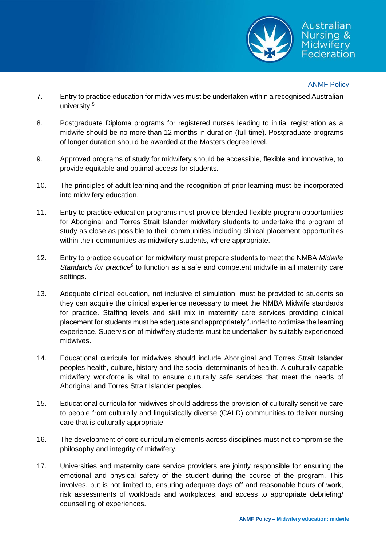

### ANMF Policy

- 7. Entry to practice education for midwives must be undertaken within a recognised Australian university. 5
- 8. Postgraduate Diploma programs for registered nurses leading to initial registration as a midwife should be no more than 12 months in duration (full time). Postgraduate programs of longer duration should be awarded at the Masters degree level.
- 9. Approved programs of study for midwifery should be accessible, flexible and innovative, to provide equitable and optimal access for students.
- 10. The principles of adult learning and the recognition of prior learning must be incorporated into midwifery education.
- 11. Entry to practice education programs must provide blended flexible program opportunities for Aboriginal and Torres Strait Islander midwifery students to undertake the program of study as close as possible to their communities including clinical placement opportunities within their communities as midwifery students, where appropriate.
- 12. Entry to practice education for midwifery must prepare students to meet the NMBA *Midwife* Standards for practice<sup>6</sup> to function as a safe and competent midwife in all maternity care settings.
- 13. Adequate clinical education, not inclusive of simulation, must be provided to students so they can acquire the clinical experience necessary to meet the NMBA Midwife standards for practice. Staffing levels and skill mix in maternity care services providing clinical placement for students must be adequate and appropriately funded to optimise the learning experience. Supervision of midwifery students must be undertaken by suitably experienced midwives.
- 14. Educational curricula for midwives should include Aboriginal and Torres Strait Islander peoples health, culture, history and the social determinants of health. A culturally capable midwifery workforce is vital to ensure culturally safe services that meet the needs of Aboriginal and Torres Strait Islander peoples.
- 15. Educational curricula for midwives should address the provision of culturally sensitive care to people from culturally and linguistically diverse (CALD) communities to deliver nursing care that is culturally appropriate.
- 16. The development of core curriculum elements across disciplines must not compromise the philosophy and integrity of midwifery.
- 17. Universities and maternity care service providers are jointly responsible for ensuring the emotional and physical safety of the student during the course of the program. This involves, but is not limited to, ensuring adequate days off and reasonable hours of work, risk assessments of workloads and workplaces, and access to appropriate debriefing/ counselling of experiences.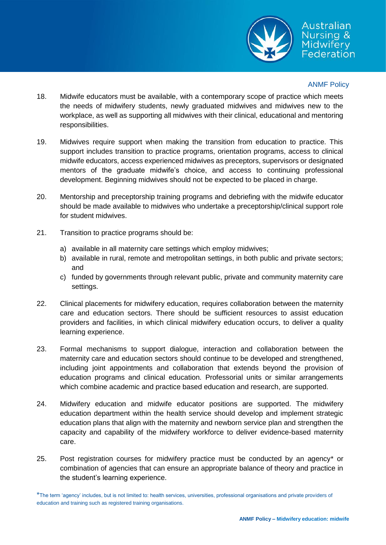

## Australian Nursina & **Midwifery** Federation

## ANMF Policy

- 18. Midwife educators must be available, with a contemporary scope of practice which meets the needs of midwifery students, newly graduated midwives and midwives new to the workplace, as well as supporting all midwives with their clinical, educational and mentoring responsibilities.
- 19. Midwives require support when making the transition from education to practice. This support includes transition to practice programs, orientation programs, access to clinical midwife educators, access experienced midwives as preceptors, supervisors or designated mentors of the graduate midwife's choice, and access to continuing professional development. Beginning midwives should not be expected to be placed in charge.
- 20. Mentorship and preceptorship training programs and debriefing with the midwife educator should be made available to midwives who undertake a preceptorship/clinical support role for student midwives.
- 21. Transition to practice programs should be:
	- a) available in all maternity care settings which employ midwives;
	- b) available in rural, remote and metropolitan settings, in both public and private sectors; and
	- c) funded by governments through relevant public, private and community maternity care settings.
- 22. Clinical placements for midwifery education, requires collaboration between the maternity care and education sectors. There should be sufficient resources to assist education providers and facilities, in which clinical midwifery education occurs, to deliver a quality learning experience.
- 23. Formal mechanisms to support dialogue, interaction and collaboration between the maternity care and education sectors should continue to be developed and strengthened, including joint appointments and collaboration that extends beyond the provision of education programs and clinical education. Professorial units or similar arrangements which combine academic and practice based education and research, are supported.
- 24. Midwifery education and midwife educator positions are supported. The midwifery education department within the health service should develop and implement strategic education plans that align with the maternity and newborn service plan and strengthen the capacity and capability of the midwifery workforce to deliver evidence-based maternity care.
- 25. Post registration courses for midwifery practice must be conducted by an agency\* or combination of agencies that can ensure an appropriate balance of theory and practice in the student's learning experience.

\*The term 'agency' includes, but is not limited to: health services, universities, professional organisations and private providers of education and training such as registered training organisations.